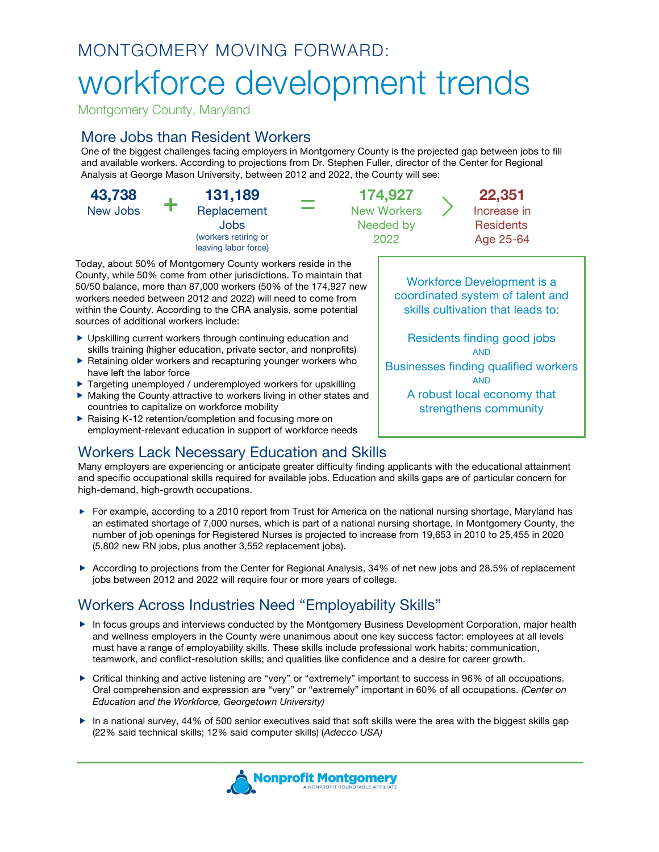# MONTGOMERY MOVING FORWARD:

# workforce development trends

Montgomery County, Maryland

### More Jobs than Resident Workers

One of the biggest challenges facing employers in Montgomery County is the projected gap between jobs to fill and available workers. According to projections from Dr. Stephen Fuller, director of the Center for Regional Analysis at George Mason University, between 2012 and 2022, the County will see:

**43,738** New Jobs **+ 131,189** Replacement Jobs (workers retiring or leaving labor force)

Today, about 50% of Montgomery County workers reside in the County, while 50% come from other jurisdictions. To maintain that 50/50 balance, more than 87,000 workers (50% of the 174,927 new workers needed between 2012 and 2022) will need to come from within the County. According to the CRA analysis, some potential sources of additional workers include:

- ▶ Upskilling current workers through continuing education and skills training (higher education, private sector, and nonprofits)
- Retaining older workers and recapturing younger workers who have left the labor force
- ▶ Targeting unemployed / underemployed workers for upskilling
- Making the County attractive to workers living in other states and countries to capitalize on workforce mobility
- ▶ Raising K-12 retention/completion and focusing more on employment-relevant education in support of workforce needs

= **174,927** New Workers Needed by 2022

> **22,351** Increase in **Residents** Age 25-64

Workforce Development is a coordinated system of talent and skills cultivation that leads to:

Residents finding good jobs AND

Businesses finding qualified workers AND

> A robust local economy that strengthens community

Workers Lack Necessary Education and Skills Many employers are experiencing or anticipate greater difficulty finding applicants with the educational attainment and specific occupational skills required for available jobs. Education and skills gaps are of particular concern for high-demand, high-growth occupations.

- ► For example, according to a 2010 report from Trust for America on the national nursing shortage, Maryland has an estimated shortage of 7,000 nurses, which is part of a national nursing shortage. In Montgomery County, the number of job openings for Registered Nurses is projected to increase from 19,653 in 2010 to 25,455 in 2020 (5,802 new RN jobs, plus another 3,552 replacement jobs).
- According to projections from the Center for Regional Analysis, 34% of net new jobs and 28.5% of replacement jobs between 2012 and 2022 will require four or more years of college.

## Workers Across Industries Need "Employability Skills"

- ▶ In focus groups and interviews conducted by the Montgomery Business Development Corporation, major health and wellness employers in the County were unanimous about one key success factor: employees at all levels must have a range of employability skills. These skills include professional work habits; communication, teamwork, and conflict-resolution skills; and qualities like confidence and a desire for career growth.
- ▶ Critical thinking and active listening are "very" or "extremely" important to success in 96% of all occupations. Oral comprehension and expression are "very" or "extremely" important in 60% of all occupations. *(Center on Education and the Workforce, Georgetown University)*
- In a national survey, 44% of 500 senior executives said that soft skills were the area with the biggest skills gap (22% said technical skills; 12% said computer skills) (*Adecco USA)*